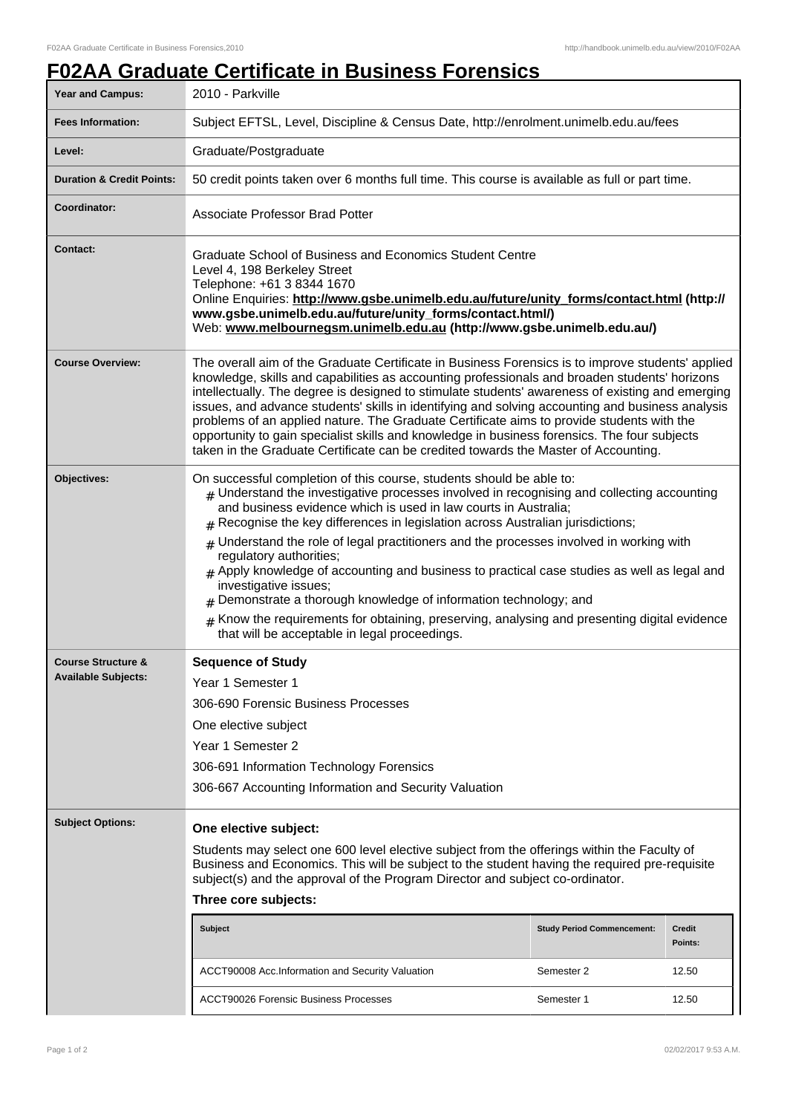## **F02AA Graduate Certificate in Business Forensics**

| <b>Year and Campus:</b>                                     | 2010 - Parkville                                                                                                                                                                                                                                                                                                                                                                                                                                                                                                                                                                                                                                                                                                                                                                                          |            |       |  |
|-------------------------------------------------------------|-----------------------------------------------------------------------------------------------------------------------------------------------------------------------------------------------------------------------------------------------------------------------------------------------------------------------------------------------------------------------------------------------------------------------------------------------------------------------------------------------------------------------------------------------------------------------------------------------------------------------------------------------------------------------------------------------------------------------------------------------------------------------------------------------------------|------------|-------|--|
| <b>Fees Information:</b>                                    | Subject EFTSL, Level, Discipline & Census Date, http://enrolment.unimelb.edu.au/fees                                                                                                                                                                                                                                                                                                                                                                                                                                                                                                                                                                                                                                                                                                                      |            |       |  |
| Level:                                                      | Graduate/Postgraduate                                                                                                                                                                                                                                                                                                                                                                                                                                                                                                                                                                                                                                                                                                                                                                                     |            |       |  |
| <b>Duration &amp; Credit Points:</b>                        | 50 credit points taken over 6 months full time. This course is available as full or part time.                                                                                                                                                                                                                                                                                                                                                                                                                                                                                                                                                                                                                                                                                                            |            |       |  |
| Coordinator:                                                | <b>Associate Professor Brad Potter</b>                                                                                                                                                                                                                                                                                                                                                                                                                                                                                                                                                                                                                                                                                                                                                                    |            |       |  |
| <b>Contact:</b>                                             | Graduate School of Business and Economics Student Centre<br>Level 4, 198 Berkeley Street<br>Telephone: +61 3 8344 1670<br>Online Enquiries: http://www.gsbe.unimelb.edu.au/future/unity_forms/contact.html (http://<br>www.gsbe.unimelb.edu.au/future/unity_forms/contact.html/)<br>Web: www.melbournegsm.unimelb.edu.au (http://www.gsbe.unimelb.edu.au/)                                                                                                                                                                                                                                                                                                                                                                                                                                                |            |       |  |
| <b>Course Overview:</b>                                     | The overall aim of the Graduate Certificate in Business Forensics is to improve students' applied<br>knowledge, skills and capabilities as accounting professionals and broaden students' horizons<br>intellectually. The degree is designed to stimulate students' awareness of existing and emerging<br>issues, and advance students' skills in identifying and solving accounting and business analysis<br>problems of an applied nature. The Graduate Certificate aims to provide students with the<br>opportunity to gain specialist skills and knowledge in business forensics. The four subjects<br>taken in the Graduate Certificate can be credited towards the Master of Accounting.                                                                                                            |            |       |  |
| Objectives:                                                 | On successful completion of this course, students should be able to:<br>$_{\#}$ Understand the investigative processes involved in recognising and collecting accounting<br>and business evidence which is used in law courts in Australia;<br>$#$ Recognise the key differences in legislation across Australian jurisdictions;<br>$#$ Understand the role of legal practitioners and the processes involved in working with<br>regulatory authorities;<br>$#$ Apply knowledge of accounting and business to practical case studies as well as legal and<br>investigative issues;<br>Demonstrate a thorough knowledge of information technology; and<br>Know the requirements for obtaining, preserving, analysing and presenting digital evidence<br>#<br>that will be acceptable in legal proceedings. |            |       |  |
| <b>Course Structure &amp;</b><br><b>Available Subjects:</b> | <b>Sequence of Study</b><br>Year 1 Semester 1<br>306-690 Forensic Business Processes<br>One elective subject<br>Year 1 Semester 2<br>306-691 Information Technology Forensics<br>306-667 Accounting Information and Security Valuation                                                                                                                                                                                                                                                                                                                                                                                                                                                                                                                                                                    |            |       |  |
| <b>Subject Options:</b>                                     | One elective subject:<br>Students may select one 600 level elective subject from the offerings within the Faculty of<br>Business and Economics. This will be subject to the student having the required pre-requisite<br>subject(s) and the approval of the Program Director and subject co-ordinator.<br>Three core subjects:<br><b>Subject</b><br><b>Study Period Commencement:</b><br><b>Credit</b><br>Points:<br>ACCT90008 Acc.Information and Security Valuation<br>Semester 2<br>12.50                                                                                                                                                                                                                                                                                                              |            |       |  |
|                                                             | <b>ACCT90026 Forensic Business Processes</b>                                                                                                                                                                                                                                                                                                                                                                                                                                                                                                                                                                                                                                                                                                                                                              | Semester 1 | 12.50 |  |